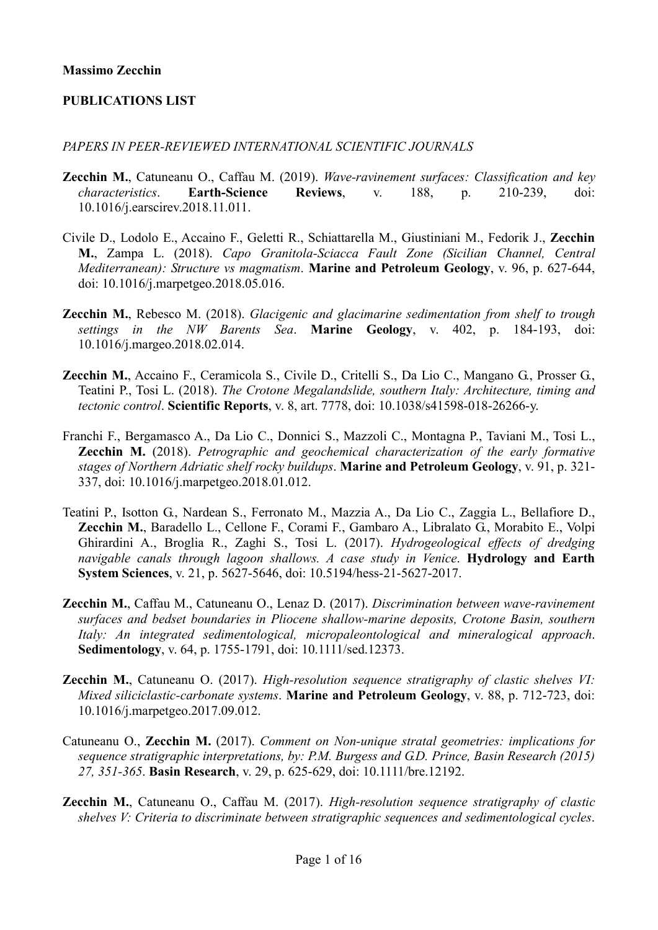### PUBLICATIONS LIST

#### PAPERS IN PEER-REVIEWED INTERNATIONAL SCIENTIFIC JOURNALS

- Zecchin M., Catuneanu O., Caffau M. (2019). Wave-ravinement surfaces: Classification and key characteristics. Earth-Science Reviews, v. 188, p. 210-239, doi: 10.1016/j.earscirev.2018.11.011.
- Civile D., Lodolo E., Accaino F., Geletti R., Schiattarella M., Giustiniani M., Fedorik J., Zecchin M., Zampa L. (2018). Capo Granitola-Sciacca Fault Zone (Sicilian Channel, Central Mediterranean): Structure vs magmatism. Marine and Petroleum Geology, v. 96, p. 627-644, doi: 10.1016/j.marpetgeo.2018.05.016.
- Zecchin M., Rebesco M. (2018). Glacigenic and glacimarine sedimentation from shelf to trough settings in the NW Barents Sea. Marine Geology, v. 402, p. 184-193, doi: 10.1016/j.margeo.2018.02.014.
- Zecchin M., Accaino F., Ceramicola S., Civile D., Critelli S., Da Lio C., Mangano G., Prosser G., Teatini P., Tosi L. (2018). The Crotone Megalandslide, southern Italy: Architecture, timing and tectonic control. Scientific Reports, v. 8, art. 7778, doi: 10.1038/s41598-018-26266-y.
- Franchi F., Bergamasco A., Da Lio C., Donnici S., Mazzoli C., Montagna P., Taviani M., Tosi L., **Zecchin M.** (2018). Petrographic and geochemical characterization of the early formative stages of Northern Adriatic shelf rocky buildups. Marine and Petroleum Geology, v. 91, p. 321-337, doi: 10.1016/j.marpetgeo.2018.01.012.
- Teatini P., Isotton G., Nardean S., Ferronato M., Mazzia A., Da Lio C., Zaggia L., Bellafiore D., Zecchin M., Baradello L., Cellone F., Corami F., Gambaro A., Libralato G., Morabito E., Volpi Ghirardini A., Broglia R., Zaghi S., Tosi L. (2017). Hydrogeological effects of dredging navigable canals through lagoon shallows. A case study in Venice. Hydrology and Earth System Sciences, v. 21, p. 5627-5646, doi: 10.5194/hess-21-5627-2017.
- Zecchin M., Caffau M., Catuneanu O., Lenaz D. (2017). Discrimination between wave-ravinement surfaces and bedset boundaries in Pliocene shallow-marine deposits, Crotone Basin, southern Italy: An integrated sedimentological, micropaleontological and mineralogical approach. Sedimentology, v. 64, p. 1755-1791, doi: 10.1111/sed.12373.
- Zecchin M., Catuneanu O. (2017). High-resolution sequence stratigraphy of clastic shelves VI: Mixed siliciclastic-carbonate systems. Marine and Petroleum Geology, v. 88, p. 712-723, doi: 10.1016/j.marpetgeo.2017.09.012.
- Catuneanu O., Zecchin M. (2017). Comment on Non-unique stratal geometries: implications for sequence stratigraphic interpretations, by: P.M. Burgess and G.D. Prince, Basin Research (2015) 27, 351-365. Basin Research, v. 29, p. 625-629, doi: 10.1111/bre.12192.
- Zecchin M., Catuneanu O., Caffau M. (2017). High-resolution sequence stratigraphy of clastic shelves V: Criteria to discriminate between stratigraphic sequences and sedimentological cycles.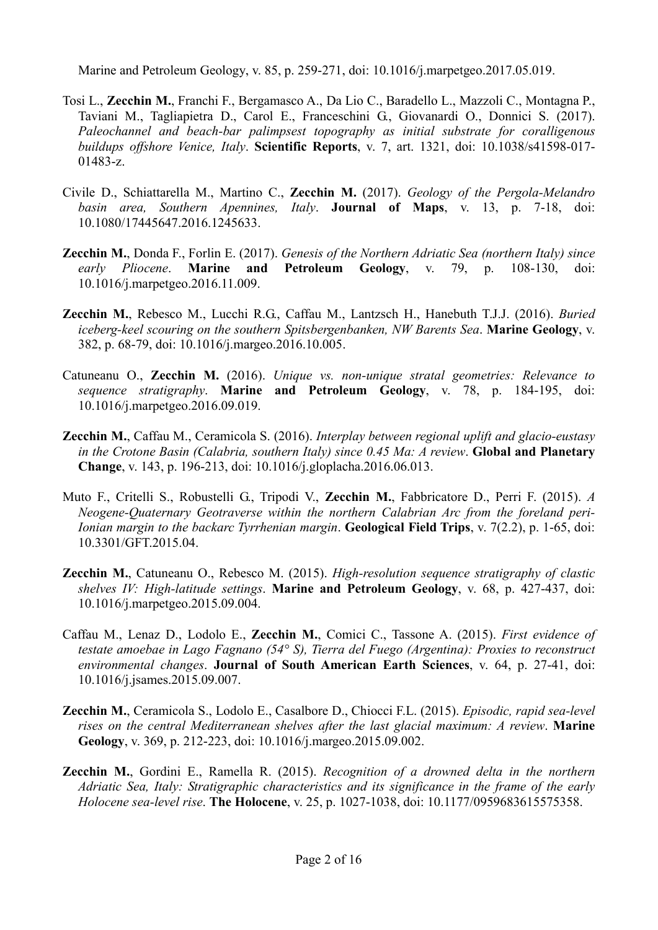Marine and Petroleum Geology, v. 85, p. 259-271, doi: 10.1016/j.marpetgeo.2017.05.019.

- Tosi L., Zecchin M., Franchi F., Bergamasco A., Da Lio C., Baradello L., Mazzoli C., Montagna P., Taviani M., Tagliapietra D., Carol E., Franceschini G., Giovanardi O., Donnici S. (2017). Paleochannel and beach-bar palimpsest topography as initial substrate for coralligenous buildups offshore Venice, Italy. Scientific Reports, v. 7, art. 1321, doi: 10.1038/s41598-017-01483-z.
- Civile D., Schiattarella M., Martino C., Zecchin M. (2017). Geology of the Pergola-Melandro basin area, Southern Apennines, Italy. **Journal of Maps**, v. 13, p. 7-18, doi: 10.1080/17445647.2016.1245633.
- Zecchin M., Donda F., Forlin E. (2017). Genesis of the Northern Adriatic Sea (northern Italy) since early Pliocene. Marine and Petroleum Geology, v. 79, p. 108-130, doi: 10.1016/j.marpetgeo.2016.11.009.
- Zecchin M., Rebesco M., Lucchi R.G., Caffau M., Lantzsch H., Hanebuth T.J.J. (2016). Buried iceberg-keel scouring on the southern Spitsbergenbanken, NW Barents Sea. Marine Geology, v. 382, p. 68-79, doi: 10.1016/j.margeo.2016.10.005.
- Catuneanu O., Zecchin M. (2016). Unique vs. non-unique stratal geometries: Relevance to sequence stratigraphy. Marine and Petroleum Geology, v. 78, p. 184-195, doi: 10.1016/j.marpetgeo.2016.09.019.
- **Zecchin M.,** Caffau M., Ceramicola S. (2016). *Interplay between regional uplift and glacio-eustasy* in the Crotone Basin (Calabria, southern Italy) since 0.45 Ma: A review. Global and Planetary Change, v. 143, p. 196-213, doi: 10.1016/j.gloplacha.2016.06.013.
- Muto F., Critelli S., Robustelli G., Tripodi V., Zecchin M., Fabbricatore D., Perri F. (2015). A Neogene-Quaternary Geotraverse within the northern Calabrian Arc from the foreland peri-Ionian margin to the backarc Tyrrhenian margin. Geological Field Trips, v. 7(2.2), p. 1-65, doi: 10.3301/GFT.2015.04.
- Zecchin M., Catuneanu O., Rebesco M. (2015). High-resolution sequence stratigraphy of clastic shelves IV: High-latitude settings. Marine and Petroleum Geology, v. 68, p. 427-437, doi: 10.1016/j.marpetgeo.2015.09.004.
- Caffau M., Lenaz D., Lodolo E., Zecchin M., Comici C., Tassone A. (2015). First evidence of testate amoebae in Lago Fagnano (54° S), Tierra del Fuego (Argentina): Proxies to reconstruct environmental changes. Journal of South American Earth Sciences, v. 64, p. 27-41, doi: 10.1016/j.jsames.2015.09.007.
- Zecchin M., Ceramicola S., Lodolo E., Casalbore D., Chiocci F.L. (2015). Episodic, rapid sea-level rises on the central Mediterranean shelves after the last glacial maximum: A review. Marine Geology, v. 369, p. 212-223, doi: 10.1016/j.margeo.2015.09.002.
- Zecchin M., Gordini E., Ramella R. (2015). Recognition of a drowned delta in the northern Adriatic Sea, Italy: Stratigraphic characteristics and its significance in the frame of the early Holocene sea-level rise. The Holocene, v. 25, p. 1027-1038, doi: 10.1177/0959683615575358.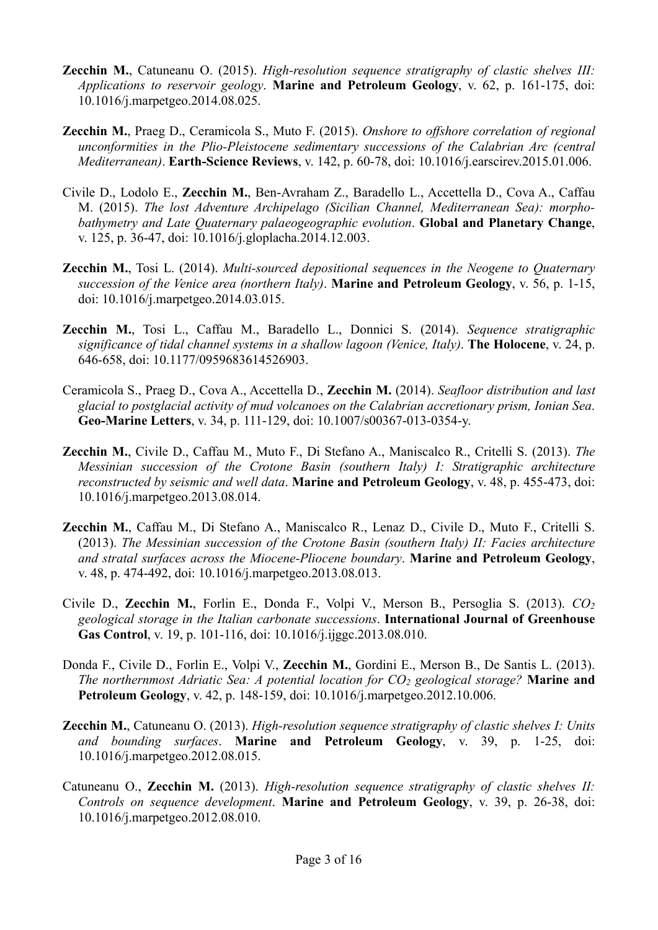- **Zecchin M.,** Catuneanu O. (2015). *High-resolution sequence stratigraphy of clastic shelves III:* Applications to reservoir geology. Marine and Petroleum Geology, v. 62, p. 161-175, doi: 10.1016/j.marpetgeo.2014.08.025.
- Zecchin M., Praeg D., Ceramicola S., Muto F. (2015). Onshore to offshore correlation of regional unconformities in the Plio-Pleistocene sedimentary successions of the Calabrian Arc (central Mediterranean). Earth-Science Reviews, v. 142, p. 60-78, doi: 10.1016/j.earscirev.2015.01.006.
- Civile D., Lodolo E., Zecchin M., Ben-Avraham Z., Baradello L., Accettella D., Cova A., Caffau M. (2015). The lost Adventure Archipelago (Sicilian Channel, Mediterranean Sea): morphobathymetry and Late Quaternary palaeogeographic evolution. Global and Planetary Change, v. 125, p. 36-47, doi: 10.1016/j.gloplacha.2014.12.003.
- **Zecchin M.,** Tosi L. (2014). Multi-sourced depositional sequences in the Neogene to Quaternary succession of the Venice area (northern Italy). Marine and Petroleum Geology, v. 56, p. 1-15, doi: 10.1016/j.marpetgeo.2014.03.015.
- Zecchin M., Tosi L., Caffau M., Baradello L., Donnici S. (2014). Sequence stratigraphic significance of tidal channel systems in a shallow lagoon (Venice, Italy). **The Holocene**, v. 24, p. 646-658, doi: 10.1177/0959683614526903.
- Ceramicola S., Praeg D., Cova A., Accettella D., Zecchin M. (2014). Seafloor distribution and last glacial to postglacial activity of mud volcanoes on the Calabrian accretionary prism, Ionian Sea. Geo-Marine Letters, v. 34, p. 111-129, doi: 10.1007/s00367-013-0354-y.
- Zecchin M., Civile D., Caffau M., Muto F., Di Stefano A., Maniscalco R., Critelli S. (2013). The Messinian succession of the Crotone Basin (southern Italy) I: Stratigraphic architecture reconstructed by seismic and well data. Marine and Petroleum Geology, v. 48, p. 455-473, doi: 10.1016/j.marpetgeo.2013.08.014.
- Zecchin M., Caffau M., Di Stefano A., Maniscalco R., Lenaz D., Civile D., Muto F., Critelli S. (2013). The Messinian succession of the Crotone Basin (southern Italy) II: Facies architecture and stratal surfaces across the Miocene-Pliocene boundary. Marine and Petroleum Geology, v. 48, p. 474-492, doi: 10.1016/j.marpetgeo.2013.08.013.
- Civile D., Zecchin M., Forlin E., Donda F., Volpi V., Merson B., Persoglia S. (2013). CO<sup>2</sup> geological storage in the Italian carbonate successions. International Journal of Greenhouse Gas Control, v. 19, p. 101-116, doi: 10.1016/j.ijggc.2013.08.010.
- Donda F., Civile D., Forlin E., Volpi V., Zecchin M., Gordini E., Merson B., De Santis L. (2013). The northernmost Adriatic Sea: A potential location for  $CO<sub>2</sub>$  geological storage? **Marine and** Petroleum Geology, v. 42, p. 148-159, doi: 10.1016/j.marpetgeo.2012.10.006.
- Zecchin M., Catuneanu O. (2013). High-resolution sequence stratigraphy of clastic shelves I: Units and bounding surfaces. Marine and Petroleum Geology, v. 39, p. 1-25, doi: 10.1016/j.marpetgeo.2012.08.015.
- Catuneanu O., Zecchin M.  $(2013)$ . High-resolution sequence stratigraphy of clastic shelves II: Controls on sequence development. Marine and Petroleum Geology, v. 39, p. 26-38, doi: 10.1016/j.marpetgeo.2012.08.010.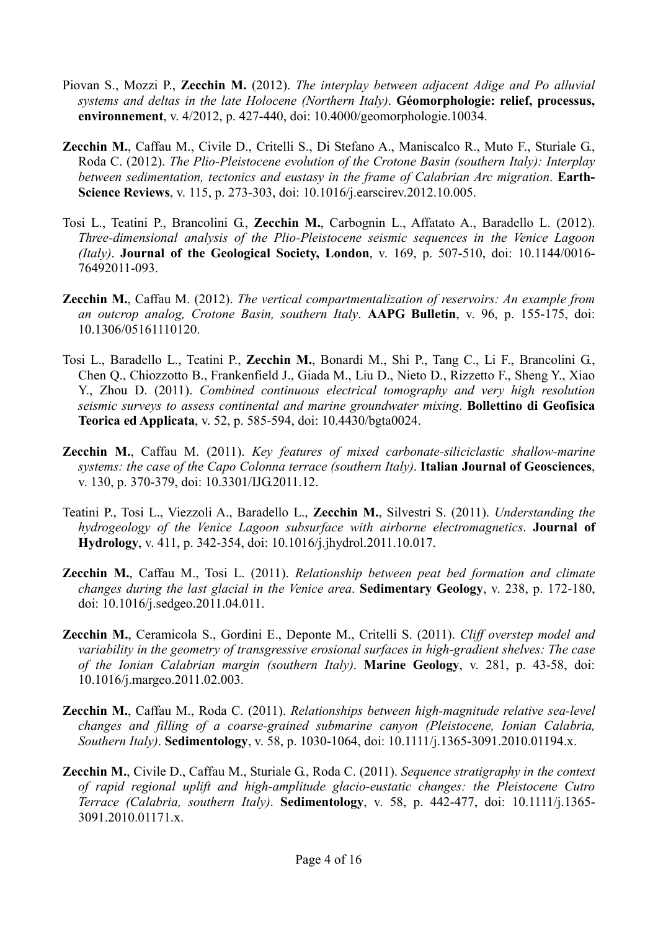- Piovan S., Mozzi P., Zecchin M. (2012). The interplay between adjacent Adige and Po alluvial systems and deltas in the late Holocene (Northern Italy). Géomorphologie: relief, processus, environnement, v. 4/2012, p. 427-440, doi: 10.4000/geomorphologie.10034.
- Zecchin M., Caffau M., Civile D., Critelli S., Di Stefano A., Maniscalco R., Muto F., Sturiale G., Roda C. (2012). The Plio-Pleistocene evolution of the Crotone Basin (southern Italy): Interplay between sedimentation, tectonics and eustasy in the frame of Calabrian Arc migration. Earth-Science Reviews, v. 115, p. 273-303, doi: 10.1016/j.earscirev.2012.10.005.
- Tosi L., Teatini P., Brancolini G., Zecchin M., Carbognin L., Affatato A., Baradello L. (2012). Three-dimensional analysis of the Plio-Pleistocene seismic sequences in the Venice Lagoon (Italy). Journal of the Geological Society, London, v. 169, p. 507-510, doi: 10.1144/0016- 76492011-093.
- Zecchin M., Caffau M. (2012). The vertical compartmentalization of reservoirs: An example from an outcrop analog, Crotone Basin, southern Italy. AAPG Bulletin, v. 96, p. 155-175, doi: 10.1306/05161110120.
- Tosi L., Baradello L., Teatini P., Zecchin M., Bonardi M., Shi P., Tang C., Li F., Brancolini G., Chen Q., Chiozzotto B., Frankenfield J., Giada M., Liu D., Nieto D., Rizzetto F., Sheng Y., Xiao Y., Zhou D. (2011). Combined continuous electrical tomography and very high resolution seismic surveys to assess continental and marine groundwater mixing. Bollettino di Geofisica Teorica ed Applicata, v. 52, p. 585-594, doi: 10.4430/bgta0024.
- Zecchin M., Caffau M. (2011). Key features of mixed carbonate-siliciclastic shallow-marine systems: the case of the Capo Colonna terrace (southern Italy). Italian Journal of Geosciences, v. 130, p. 370-379, doi: 10.3301/IJG.2011.12.
- Teatini P., Tosi L., Viezzoli A., Baradello L., Zecchin M., Silvestri S. (2011). Understanding the hydrogeology of the Venice Lagoon subsurface with airborne electromagnetics. **Journal of** Hydrology, v. 411, p. 342-354, doi: 10.1016/j.jhydrol.2011.10.017.
- Zecchin M., Caffau M., Tosi L. (2011). Relationship between peat bed formation and climate changes during the last glacial in the Venice area. Sedimentary Geology, v. 238, p. 172-180, doi: 10.1016/j.sedgeo.2011.04.011.
- Zecchin M., Ceramicola S., Gordini E., Deponte M., Critelli S. (2011). Cliff overstep model and variability in the geometry of transgressive erosional surfaces in high-gradient shelves: The case of the Ionian Calabrian margin (southern Italy). Marine Geology, v. 281, p. 43-58, doi: 10.1016/j.margeo.2011.02.003.
- Zecchin M., Caffau M., Roda C. (2011). Relationships between high-magnitude relative sea-level changes and filling of a coarse-grained submarine canyon (Pleistocene, Ionian Calabria, Southern Italy). Sedimentology, v. 58, p. 1030-1064, doi: 10.1111/j.1365-3091.2010.01194.x.
- Zecchin M., Civile D., Caffau M., Sturiale G., Roda C. (2011). Sequence stratigraphy in the context of rapid regional uplift and high-amplitude glacio-eustatic changes: the Pleistocene Cutro Terrace (Calabria, southern Italy). Sedimentology, v. 58, p. 442-477, doi: 10.1111/j.1365- 3091.2010.01171.x.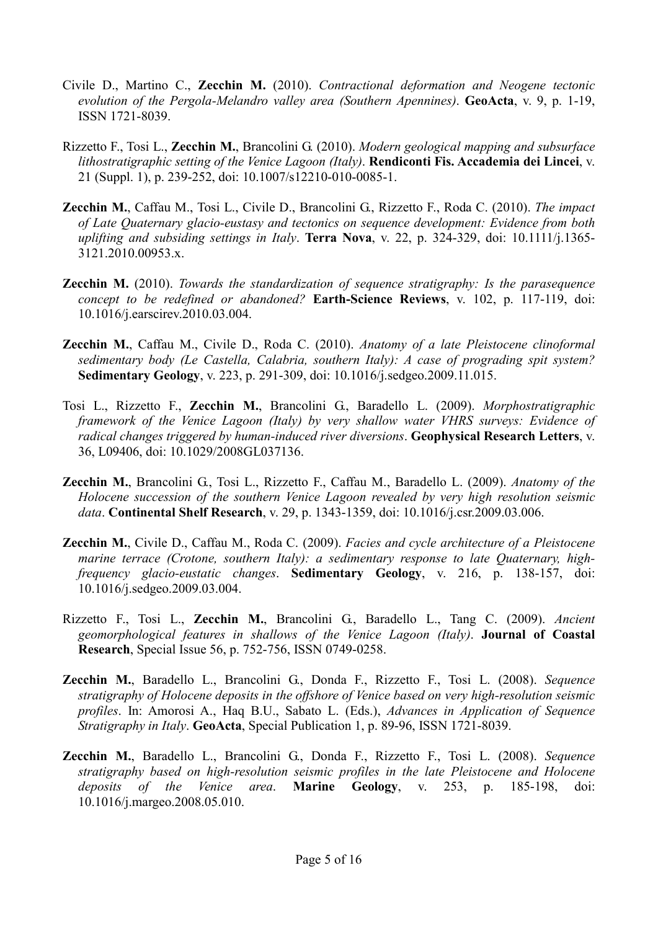- Civile D., Martino C., Zecchin M. (2010). Contractional deformation and Neogene tectonic evolution of the Pergola-Melandro valley area (Southern Apennines). GeoActa, v. 9, p. 1-19, ISSN 1721-8039.
- Rizzetto F., Tosi L., Zecchin M., Brancolini G. (2010). Modern geological mapping and subsurface lithostratigraphic setting of the Venice Lagoon (Italy). Rendiconti Fis. Accademia dei Lincei, v. 21 (Suppl. 1), p. 239-252, doi: 10.1007/s12210-010-0085-1.
- Zecchin M., Caffau M., Tosi L., Civile D., Brancolini G., Rizzetto F., Roda C. (2010). The impact of Late Quaternary glacio-eustasy and tectonics on sequence development: Evidence from both uplifting and subsiding settings in Italy. Terra Nova, v. 22, p. 324-329, doi:  $10.1111/j.1365$ -3121.2010.00953.x.
- **Zecchin M.** (2010). Towards the standardization of sequence stratigraphy: Is the parasequence concept to be redefined or abandoned? Earth-Science Reviews, v. 102, p. 117-119, doi: 10.1016/j.earscirev.2010.03.004.
- Zecchin M., Caffau M., Civile D., Roda C. (2010). Anatomy of a late Pleistocene clinoformal sedimentary body (Le Castella, Calabria, southern Italy): A case of prograding spit system? Sedimentary Geology, v. 223, p. 291-309, doi: 10.1016/j.sedgeo.2009.11.015.
- Tosi L., Rizzetto F., Zecchin M., Brancolini G., Baradello L. (2009). Morphostratigraphic framework of the Venice Lagoon (Italy) by very shallow water VHRS surveys: Evidence of radical changes triggered by human-induced river diversions. Geophysical Research Letters, v. 36, L09406, doi: 10.1029/2008GL037136.
- Zecchin M., Brancolini G., Tosi L., Rizzetto F., Caffau M., Baradello L. (2009). Anatomy of the Holocene succession of the southern Venice Lagoon revealed by very high resolution seismic data. Continental Shelf Research, v. 29, p. 1343-1359, doi: 10.1016/j.csr.2009.03.006.
- **Zecchin M.,** Civile D., Caffau M., Roda C. (2009). Facies and cycle architecture of a Pleistocene marine terrace (Crotone, southern Italy): a sedimentary response to late Quaternary, highfrequency glacio-eustatic changes. Sedimentary Geology, v. 216, p. 138-157, doi: 10.1016/j.sedgeo.2009.03.004.
- Rizzetto F., Tosi L., Zecchin M., Brancolini G., Baradello L., Tang C. (2009). Ancient geomorphological features in shallows of the Venice Lagoon (Italy). Journal of Coastal Research, Special Issue 56, p. 752-756, ISSN 0749-0258.
- Zecchin M., Baradello L., Brancolini G., Donda F., Rizzetto F., Tosi L. (2008). Sequence stratigraphy of Holocene deposits in the offshore of Venice based on very high-resolution seismic profiles. In: Amorosi A., Haq B.U., Sabato L. (Eds.), Advances in Application of Sequence Stratigraphy in Italy. GeoActa, Special Publication 1, p. 89-96, ISSN 1721-8039.
- Zecchin M., Baradello L., Brancolini G., Donda F., Rizzetto F., Tosi L. (2008). Sequence stratigraphy based on high-resolution seismic profiles in the late Pleistocene and Holocene deposits of the Venice area. **Marine Geology**, v. 253, p. 185-198, doi: 10.1016/j.margeo.2008.05.010.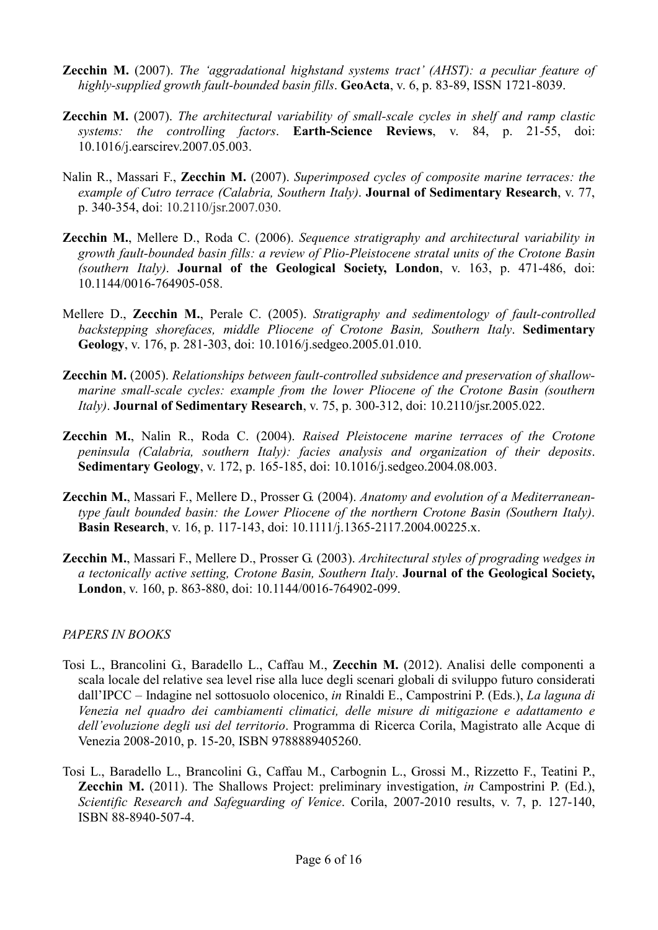- **Zecchin M.** (2007). The 'aggradational highstand systems tract' (AHST): a peculiar feature of highly-supplied growth fault-bounded basin fills. GeoActa, v. 6, p. 83-89, ISSN 1721-8039.
- **Zecchin M.** (2007). The architectural variability of small-scale cycles in shelf and ramp clastic systems: the controlling factors. Earth-Science Reviews, v. 84, p. 21-55, doi: 10.1016/j.earscirev.2007.05.003.
- Nalin R., Massari F., Zecchin M. (2007). Superimposed cycles of composite marine terraces: the example of Cutro terrace (Calabria, Southern Italy). **Journal of Sedimentary Research**, v. 77, p. 340-354, doi: 10.2110/jsr.2007.030.
- **Zecchin M.,** Mellere D., Roda C. (2006). Sequence stratigraphy and architectural variability in growth fault-bounded basin fills: a review of Plio-Pleistocene stratal units of the Crotone Basin (southern Italy). Journal of the Geological Society, London, v. 163, p. 471-486, doi: 10.1144/0016-764905-058.
- Mellere D., Zecchin M., Perale C. (2005). Stratigraphy and sedimentology of fault-controlled backstepping shorefaces, middle Pliocene of Crotone Basin, Southern Italy. Sedimentary Geology, v. 176, p. 281-303, doi: 10.1016/j.sedgeo.2005.01.010.
- Zecchin M. (2005). Relationships between fault-controlled subsidence and preservation of shallowmarine small-scale cycles: example from the lower Pliocene of the Crotone Basin (southern Italy). Journal of Sedimentary Research, v. 75, p. 300-312, doi: 10.2110/jsr.2005.022.
- Zecchin M., Nalin R., Roda C. (2004). Raised Pleistocene marine terraces of the Crotone peninsula (Calabria, southern Italy): facies analysis and organization of their deposits. Sedimentary Geology, v. 172, p. 165-185, doi: 10.1016/j.sedgeo.2004.08.003.
- Zecchin M., Massari F., Mellere D., Prosser G. (2004). Anatomy and evolution of a Mediterraneantype fault bounded basin: the Lower Pliocene of the northern Crotone Basin (Southern Italy). Basin Research, v. 16, p. 117-143, doi: 10.1111/j.1365-2117.2004.00225.x.
- Zecchin M., Massari F., Mellere D., Prosser G. (2003). Architectural styles of prograding wedges in a tectonically active setting, Crotone Basin, Southern Italy. Journal of the Geological Society, London, v. 160, p. 863-880, doi: 10.1144/0016-764902-099.

### PAPERS IN BOOKS

- Tosi L., Brancolini G., Baradello L., Caffau M., Zecchin M. (2012). Analisi delle componenti a scala locale del relative sea level rise alla luce degli scenari globali di sviluppo futuro considerati dall'IPCC – Indagine nel sottosuolo olocenico, in Rinaldi E., Campostrini P. (Eds.), La laguna di Venezia nel quadro dei cambiamenti climatici, delle misure di mitigazione e adattamento e dell'evoluzione degli usi del territorio. Programma di Ricerca Corila, Magistrato alle Acque di Venezia 2008-2010, p. 15-20, ISBN 9788889405260.
- Tosi L., Baradello L., Brancolini G., Caffau M., Carbognin L., Grossi M., Rizzetto F., Teatini P., Zecchin M. (2011). The Shallows Project: preliminary investigation, in Campostrini P. (Ed.), Scientific Research and Safeguarding of Venice. Corila, 2007-2010 results, v. 7, p. 127-140, ISBN 88-8940-507-4.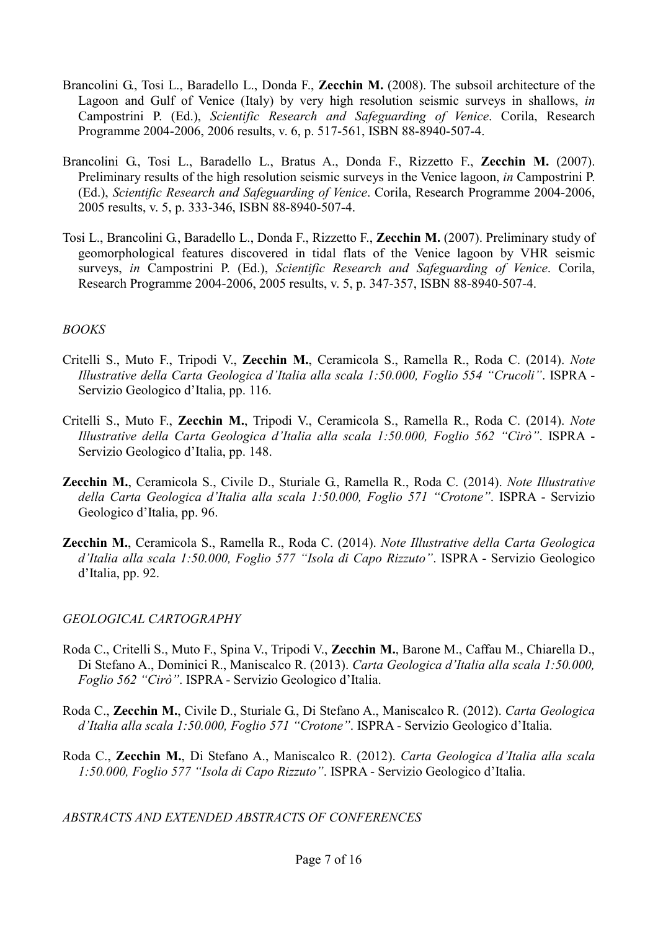- Brancolini G., Tosi L., Baradello L., Donda F., Zecchin M. (2008). The subsoil architecture of the Lagoon and Gulf of Venice (Italy) by very high resolution seismic surveys in shallows, in Campostrini P. (Ed.), Scientific Research and Safeguarding of Venice. Corila, Research Programme 2004-2006, 2006 results, v. 6, p. 517-561, ISBN 88-8940-507-4.
- Brancolini G., Tosi L., Baradello L., Bratus A., Donda F., Rizzetto F., Zecchin M. (2007). Preliminary results of the high resolution seismic surveys in the Venice lagoon, in Campostrini P. (Ed.), Scientific Research and Safeguarding of Venice. Corila, Research Programme 2004-2006, 2005 results, v. 5, p. 333-346, ISBN 88-8940-507-4.
- Tosi L., Brancolini G., Baradello L., Donda F., Rizzetto F., Zecchin M. (2007). Preliminary study of geomorphological features discovered in tidal flats of the Venice lagoon by VHR seismic surveys, in Campostrini P. (Ed.), Scientific Research and Safeguarding of Venice. Corila, Research Programme 2004-2006, 2005 results, v. 5, p. 347-357, ISBN 88-8940-507-4.

### BOOKS

- Critelli S., Muto F., Tripodi V., Zecchin M., Ceramicola S., Ramella R., Roda C. (2014). Note Illustrative della Carta Geologica d'Italia alla scala 1:50.000, Foglio 554 "Crucoli". ISPRA - Servizio Geologico d'Italia, pp. 116.
- Critelli S., Muto F., Zecchin M., Tripodi V., Ceramicola S., Ramella R., Roda C. (2014). Note Illustrative della Carta Geologica d'Italia alla scala 1:50.000, Foglio 562 "Cirò". ISPRA - Servizio Geologico d'Italia, pp. 148.
- Zecchin M., Ceramicola S., Civile D., Sturiale G., Ramella R., Roda C. (2014). Note Illustrative della Carta Geologica d'Italia alla scala 1:50.000, Foglio 571 "Crotone". ISPRA - Servizio Geologico d'Italia, pp. 96.
- Zecchin M., Ceramicola S., Ramella R., Roda C. (2014). Note Illustrative della Carta Geologica d'Italia alla scala 1:50.000, Foglio 577 "Isola di Capo Rizzuto". ISPRA - Servizio Geologico d'Italia, pp. 92.

## GEOLOGICAL CARTOGRAPHY

- Roda C., Critelli S., Muto F., Spina V., Tripodi V., Zecchin M., Barone M., Caffau M., Chiarella D., Di Stefano A., Dominici R., Maniscalco R. (2013). Carta Geologica d'Italia alla scala 1:50.000, Foglio 562 "Cirò". ISPRA - Servizio Geologico d'Italia.
- Roda C., Zecchin M., Civile D., Sturiale G., Di Stefano A., Maniscalco R. (2012). Carta Geologica d'Italia alla scala 1:50.000, Foglio 571 "Crotone". ISPRA - Servizio Geologico d'Italia.
- Roda C., Zecchin M., Di Stefano A., Maniscalco R. (2012). Carta Geologica d'Italia alla scala 1:50.000, Foglio 577 "Isola di Capo Rizzuto". ISPRA - Servizio Geologico d'Italia.

ABSTRACTS AND EXTENDED ABSTRACTS OF CONFERENCES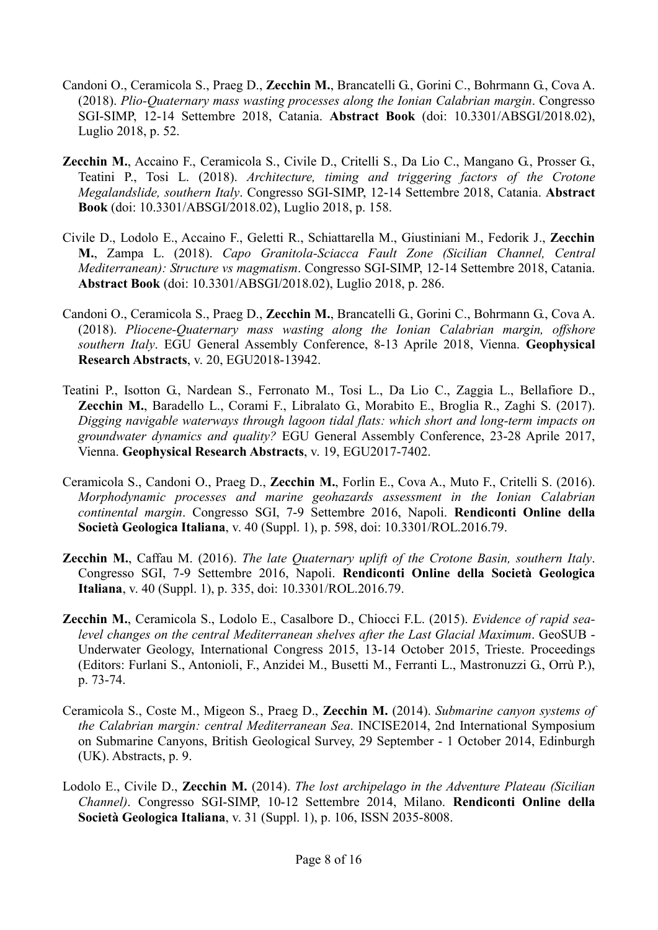- Candoni O., Ceramicola S., Praeg D., Zecchin M., Brancatelli G., Gorini C., Bohrmann G., Cova A. (2018). Plio-Quaternary mass wasting processes along the Ionian Calabrian margin. Congresso SGI-SIMP, 12-14 Settembre 2018, Catania. Abstract Book (doi: 10.3301/ABSGI/2018.02), Luglio 2018, p. 52.
- Zecchin M., Accaino F., Ceramicola S., Civile D., Critelli S., Da Lio C., Mangano G., Prosser G., Teatini P., Tosi L. (2018). Architecture, timing and triggering factors of the Crotone Megalandslide, southern Italy. Congresso SGI-SIMP, 12-14 Settembre 2018, Catania. Abstract Book (doi: 10.3301/ABSGI/2018.02), Luglio 2018, p. 158.
- Civile D., Lodolo E., Accaino F., Geletti R., Schiattarella M., Giustiniani M., Fedorik J., Zecchin M., Zampa L. (2018). Capo Granitola-Sciacca Fault Zone (Sicilian Channel, Central Mediterranean): Structure vs magmatism. Congresso SGI-SIMP, 12-14 Settembre 2018, Catania. Abstract Book (doi: 10.3301/ABSGI/2018.02), Luglio 2018, p. 286.
- Candoni O., Ceramicola S., Praeg D., Zecchin M., Brancatelli G., Gorini C., Bohrmann G., Cova A. (2018). Pliocene-Quaternary mass wasting along the Ionian Calabrian margin, offshore southern Italy. EGU General Assembly Conference, 8-13 Aprile 2018, Vienna. Geophysical Research Abstracts, v. 20, EGU2018-13942.
- Teatini P., Isotton G., Nardean S., Ferronato M., Tosi L., Da Lio C., Zaggia L., Bellafiore D., Zecchin M., Baradello L., Corami F., Libralato G., Morabito E., Broglia R., Zaghi S. (2017). Digging navigable waterways through lagoon tidal flats: which short and long-term impacts on groundwater dynamics and quality? EGU General Assembly Conference, 23-28 Aprile 2017, Vienna. Geophysical Research Abstracts, v. 19, EGU2017-7402.
- Ceramicola S., Candoni O., Praeg D., Zecchin M., Forlin E., Cova A., Muto F., Critelli S. (2016). Morphodynamic processes and marine geohazards assessment in the Ionian Calabrian continental margin. Congresso SGI, 7-9 Settembre 2016, Napoli. Rendiconti Online della Società Geologica Italiana, v. 40 (Suppl. 1), p. 598, doi: 10.3301/ROL.2016.79.
- **Zecchin M.,** Caffau M. (2016). The late Quaternary uplift of the Crotone Basin, southern Italy. Congresso SGI, 7-9 Settembre 2016, Napoli. Rendiconti Online della Società Geologica Italiana, v. 40 (Suppl. 1), p. 335, doi: 10.3301/ROL.2016.79.
- Zecchin M., Ceramicola S., Lodolo E., Casalbore D., Chiocci F.L. (2015). Evidence of rapid sealevel changes on the central Mediterranean shelves after the Last Glacial Maximum. GeoSUB - Underwater Geology, International Congress 2015, 13-14 October 2015, Trieste. Proceedings (Editors: Furlani S., Antonioli, F., Anzidei M., Busetti M., Ferranti L., Mastronuzzi G., Orrù P.), p. 73-74.
- Ceramicola S., Coste M., Migeon S., Praeg D., Zecchin M. (2014). Submarine canyon systems of the Calabrian margin: central Mediterranean Sea. INCISE2014, 2nd International Symposium on Submarine Canyons, British Geological Survey, 29 September - 1 October 2014, Edinburgh (UK). Abstracts, p. 9.
- Lodolo E., Civile D., Zecchin M. (2014). The lost archipelago in the Adventure Plateau (Sicilian Channel). Congresso SGI-SIMP, 10-12 Settembre 2014, Milano. Rendiconti Online della Società Geologica Italiana, v. 31 (Suppl. 1), p. 106, ISSN 2035-8008.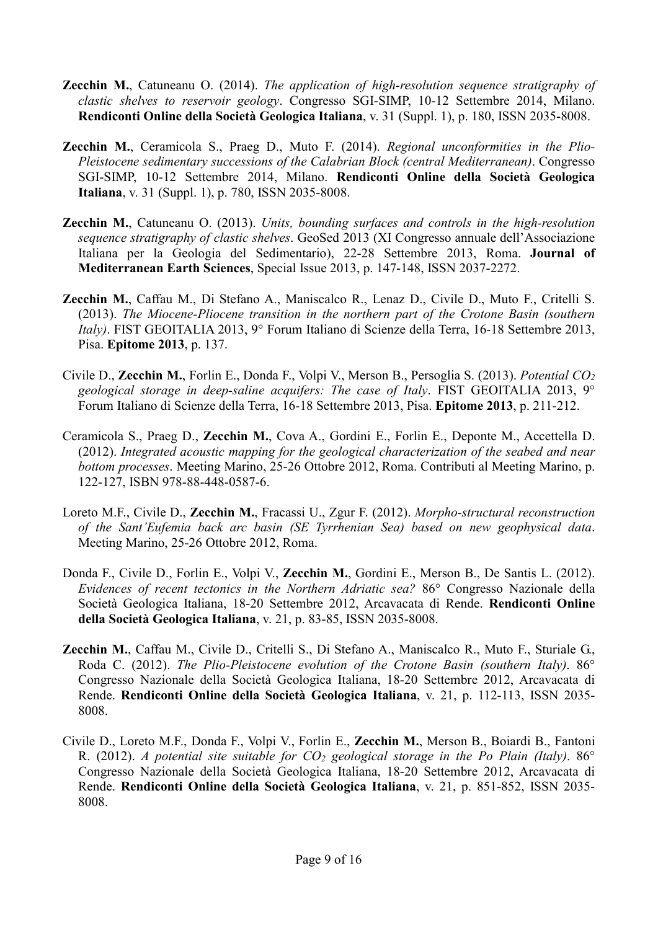- **Zecchin M.,** Catuneanu O. (2014). The application of high-resolution sequence stratigraphy of clastic shelves to reservoir geology. Congresso SGI-SIMP, 10-12 Settembre 2014, Milano. Rendiconti Online della Società Geologica Italiana, v. 31 (Suppl. 1), p. 180, ISSN 2035-8008.
- Zecchin M., Ceramicola S., Praeg D., Muto F. (2014). Regional unconformities in the Plio-Pleistocene sedimentary successions of the Calabrian Block (central Mediterranean). Congresso SGI-SIMP, 10-12 Settembre 2014, Milano. Rendiconti Online della Società Geologica Italiana, v. 31 (Suppl. 1), p. 780, ISSN 2035-8008.
- **Zecchin M.,** Catuneanu O. (2013). Units, bounding surfaces and controls in the high-resolution sequence stratigraphy of clastic shelves. GeoSed 2013 (XI Congresso annuale dell'Associazione Italiana per la Geologia del Sedimentario), 22-28 Settembre 2013, Roma. Journal of Mediterranean Earth Sciences, Special Issue 2013, p. 147-148, ISSN 2037-2272.
- Zecchin M., Caffau M., Di Stefano A., Maniscalco R., Lenaz D., Civile D., Muto F., Critelli S. (2013). The Miocene-Pliocene transition in the northern part of the Crotone Basin (southern Italy). FIST GEOITALIA 2013, 9° Forum Italiano di Scienze della Terra, 16-18 Settembre 2013, Pisa. Epitome 2013, p. 137.
- Civile D., Zecchin M., Forlin E., Donda F., Volpi V., Merson B., Persoglia S. (2013). Potential CO<sup>2</sup> geological storage in deep-saline acquifers: The case of Italy. FIST GEOITALIA 2013, 9° Forum Italiano di Scienze della Terra, 16-18 Settembre 2013, Pisa. Epitome 2013, p. 211-212.
- Ceramicola S., Praeg D., Zecchin M., Cova A., Gordini E., Forlin E., Deponte M., Accettella D. (2012). Integrated acoustic mapping for the geological characterization of the seabed and near bottom processes. Meeting Marino, 25-26 Ottobre 2012, Roma. Contributi al Meeting Marino, p. 122-127, ISBN 978-88-448-0587-6.
- Loreto M.F., Civile D., Zecchin M., Fracassi U., Zgur F. (2012). Morpho-structural reconstruction of the Sant'Eufemia back arc basin (SE Tyrrhenian Sea) based on new geophysical data. Meeting Marino, 25-26 Ottobre 2012, Roma.
- Donda F., Civile D., Forlin E., Volpi V., Zecchin M., Gordini E., Merson B., De Santis L. (2012). Evidences of recent tectonics in the Northern Adriatic sea? 86° Congresso Nazionale della Società Geologica Italiana, 18-20 Settembre 2012, Arcavacata di Rende. Rendiconti Online della Società Geologica Italiana, v. 21, p. 83-85, ISSN 2035-8008.
- Zecchin M., Caffau M., Civile D., Critelli S., Di Stefano A., Maniscalco R., Muto F., Sturiale G., Roda C. (2012). The Plio-Pleistocene evolution of the Crotone Basin (southern Italy). 86° Congresso Nazionale della Società Geologica Italiana, 18-20 Settembre 2012, Arcavacata di Rende. Rendiconti Online della Società Geologica Italiana, v. 21, p. 112-113, ISSN 2035- 8008.
- Civile D., Loreto M.F., Donda F., Volpi V., Forlin E., Zecchin M., Merson B., Boiardi B., Fantoni R. (2012). A potential site suitable for  $CO<sub>2</sub>$  geological storage in the Po Plain (Italy). 86<sup>°</sup> Congresso Nazionale della Società Geologica Italiana, 18-20 Settembre 2012, Arcavacata di Rende. Rendiconti Online della Società Geologica Italiana, v. 21, p. 851-852, ISSN 2035- 8008.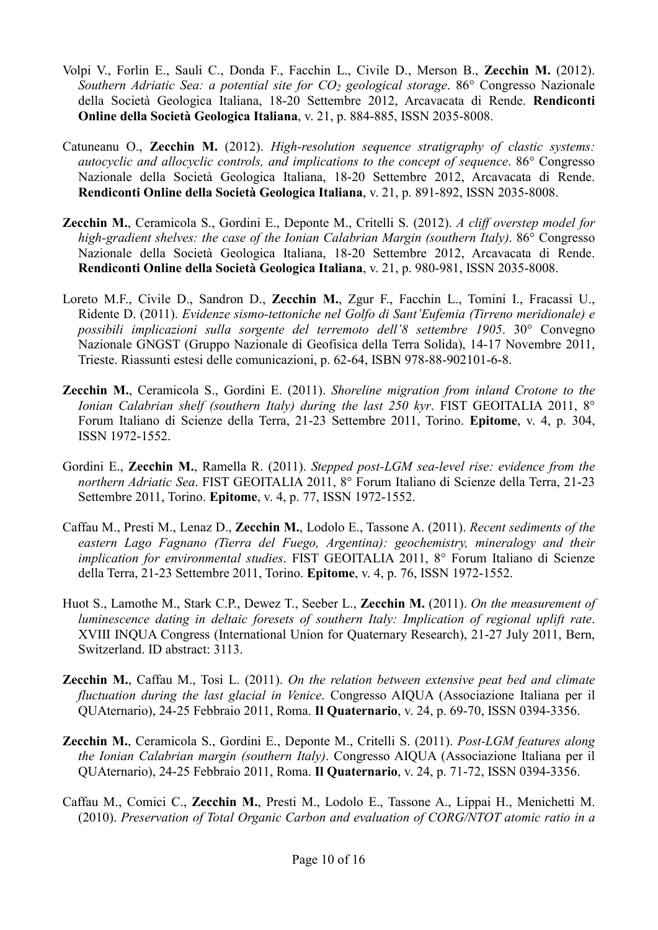- Volpi V., Forlin E., Sauli C., Donda F., Facchin L., Civile D., Merson B., Zecchin M. (2012). Southern Adriatic Sea: a potential site for  $CO_2$  geological storage. 86° Congresso Nazionale della Società Geologica Italiana, 18-20 Settembre 2012, Arcavacata di Rende. Rendiconti Online della Società Geologica Italiana, v. 21, p. 884-885, ISSN 2035-8008.
- Catuneanu O., Zecchin M. (2012). High-resolution sequence stratigraphy of clastic systems: autocyclic and allocyclic controls, and implications to the concept of sequence. 86° Congresso Nazionale della Società Geologica Italiana, 18-20 Settembre 2012, Arcavacata di Rende. Rendiconti Online della Società Geologica Italiana, v. 21, p. 891-892, ISSN 2035-8008.
- Zecchin M., Ceramicola S., Gordini E., Deponte M., Critelli S. (2012). A cliff overstep model for high-gradient shelves: the case of the Ionian Calabrian Margin (southern Italy). 86° Congresso Nazionale della Società Geologica Italiana, 18-20 Settembre 2012, Arcavacata di Rende. Rendiconti Online della Società Geologica Italiana, v. 21, p. 980-981, ISSN 2035-8008.
- Loreto M.F., Civile D., Sandron D., Zecchin M., Zgur F., Facchin L., Tomini I., Fracassi U., Ridente D. (2011). Evidenze sismo-tettoniche nel Golfo di Sant'Eufemia (Tirreno meridionale) e possibili implicazioni sulla sorgente del terremoto dell'8 settembre 1905. 30° Convegno Nazionale GNGST (Gruppo Nazionale di Geofisica della Terra Solida), 14-17 Novembre 2011, Trieste. Riassunti estesi delle comunicazioni, p. 62-64, ISBN 978-88-902101-6-8.
- Zecchin M., Ceramicola S., Gordini E. (2011). Shoreline migration from inland Crotone to the Ionian Calabrian shelf (southern Italy) during the last 250 kyr. FIST GEOITALIA 2011,  $8^\circ$ Forum Italiano di Scienze della Terra, 21-23 Settembre 2011, Torino. Epitome, v. 4, p. 304, ISSN 1972-1552.
- Gordini E., Zecchin M., Ramella R. (2011). Stepped post-LGM sea-level rise: evidence from the northern Adriatic Sea. FIST GEOITALIA 2011, 8° Forum Italiano di Scienze della Terra, 21-23 Settembre 2011, Torino. Epitome, v. 4, p. 77, ISSN 1972-1552.
- Caffau M., Presti M., Lenaz D., Zecchin M., Lodolo E., Tassone A. (2011). Recent sediments of the eastern Lago Fagnano (Tierra del Fuego, Argentina): geochemistry, mineralogy and their implication for environmental studies. FIST GEOITALIA 2011, 8° Forum Italiano di Scienze della Terra, 21-23 Settembre 2011, Torino. Epitome, v. 4, p. 76, ISSN 1972-1552.
- Huot S., Lamothe M., Stark C.P., Dewez T., Seeber L., Zecchin M. (2011). On the measurement of luminescence dating in deltaic foresets of southern Italy: Implication of regional uplift rate. XVIII INQUA Congress (International Union for Quaternary Research), 21-27 July 2011, Bern, Switzerland. ID abstract: 3113.
- **Zecchin M.,** Caffau M., Tosi L. (2011). On the relation between extensive peat bed and climate fluctuation during the last glacial in Venice. Congresso AIQUA (Associazione Italiana per il QUAternario), 24-25 Febbraio 2011, Roma. Il Quaternario, v. 24, p. 69-70, ISSN 0394-3356.
- Zecchin M., Ceramicola S., Gordini E., Deponte M., Critelli S. (2011). Post-LGM features along the Ionian Calabrian margin (southern Italy). Congresso AIQUA (Associazione Italiana per il QUAternario), 24-25 Febbraio 2011, Roma. Il Quaternario, v. 24, p. 71-72, ISSN 0394-3356.
- Caffau M., Comici C., Zecchin M., Presti M., Lodolo E., Tassone A., Lippai H., Menichetti M. (2010). Preservation of Total Organic Carbon and evaluation of CORG/NTOT atomic ratio in a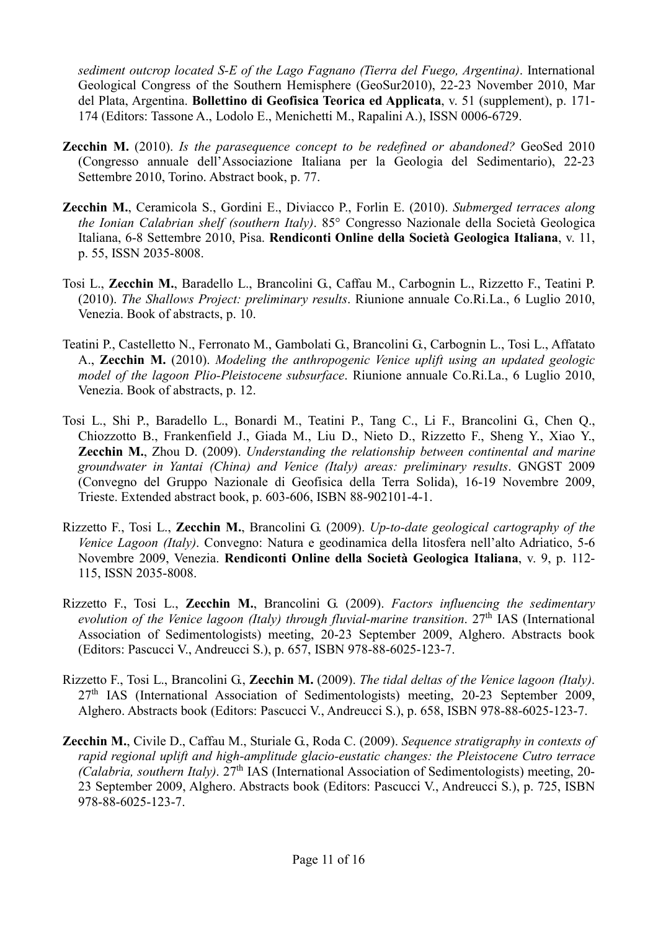sediment outcrop located S-E of the Lago Fagnano (Tierra del Fuego, Argentina). International Geological Congress of the Southern Hemisphere (GeoSur2010), 22-23 November 2010, Mar del Plata, Argentina. Bollettino di Geofisica Teorica ed Applicata, v. 51 (supplement), p. 171- 174 (Editors: Tassone A., Lodolo E., Menichetti M., Rapalini A.), ISSN 0006-6729.

- **Zecchin M.** (2010). Is the parasequence concept to be redefined or abandoned? GeoSed 2010 (Congresso annuale dell'Associazione Italiana per la Geologia del Sedimentario), 22-23 Settembre 2010, Torino. Abstract book, p. 77.
- Zecchin M., Ceramicola S., Gordini E., Diviacco P., Forlin E. (2010). Submerged terraces along the Ionian Calabrian shelf (southern Italy). 85° Congresso Nazionale della Società Geologica Italiana, 6-8 Settembre 2010, Pisa. Rendiconti Online della Società Geologica Italiana, v. 11, p. 55, ISSN 2035-8008.
- Tosi L., Zecchin M., Baradello L., Brancolini G., Caffau M., Carbognin L., Rizzetto F., Teatini P. (2010). The Shallows Project: preliminary results. Riunione annuale Co.Ri.La., 6 Luglio 2010, Venezia. Book of abstracts, p. 10.
- Teatini P., Castelletto N., Ferronato M., Gambolati G., Brancolini G., Carbognin L., Tosi L., Affatato A., Zecchin M. (2010). Modeling the anthropogenic Venice uplift using an updated geologic model of the lagoon Plio-Pleistocene subsurface. Riunione annuale Co.Ri.La., 6 Luglio 2010, Venezia. Book of abstracts, p. 12.
- Tosi L., Shi P., Baradello L., Bonardi M., Teatini P., Tang C., Li F., Brancolini G., Chen Q., Chiozzotto B., Frankenfield J., Giada M., Liu D., Nieto D., Rizzetto F., Sheng Y., Xiao Y., Zecchin M., Zhou D. (2009). Understanding the relationship between continental and marine groundwater in Yantai (China) and Venice (Italy) areas: preliminary results. GNGST 2009 (Convegno del Gruppo Nazionale di Geofisica della Terra Solida), 16-19 Novembre 2009, Trieste. Extended abstract book, p. 603-606, ISBN 88-902101-4-1.
- Rizzetto F., Tosi L., Zecchin M., Brancolini G. (2009). Up-to-date geological cartography of the Venice Lagoon (Italy). Convegno: Natura e geodinamica della litosfera nell'alto Adriatico, 5-6 Novembre 2009, Venezia. Rendiconti Online della Società Geologica Italiana, v. 9, p. 112- 115, ISSN 2035-8008.
- Rizzetto F., Tosi L., Zecchin M., Brancolini G. (2009). Factors influencing the sedimentary evolution of the Venice lagoon (Italy) through fluvial-marine transition.  $27<sup>th</sup>$  IAS (International Association of Sedimentologists) meeting, 20-23 September 2009, Alghero. Abstracts book (Editors: Pascucci V., Andreucci S.), p. 657, ISBN 978-88-6025-123-7.
- Rizzetto F., Tosi L., Brancolini G., Zecchin M. (2009). The tidal deltas of the Venice lagoon (Italy).  $27<sup>th</sup>$  IAS (International Association of Sedimentologists) meeting, 20-23 September 2009, Alghero. Abstracts book (Editors: Pascucci V., Andreucci S.), p. 658, ISBN 978-88-6025-123-7.
- Zecchin M., Civile D., Caffau M., Sturiale G., Roda C. (2009). Sequence stratigraphy in contexts of rapid regional uplift and high-amplitude glacio-eustatic changes: the Pleistocene Cutro terrace (Calabria, southern Italy).  $27<sup>th</sup>$  IAS (International Association of Sedimentologists) meeting, 20-23 September 2009, Alghero. Abstracts book (Editors: Pascucci V., Andreucci S.), p. 725, ISBN 978-88-6025-123-7.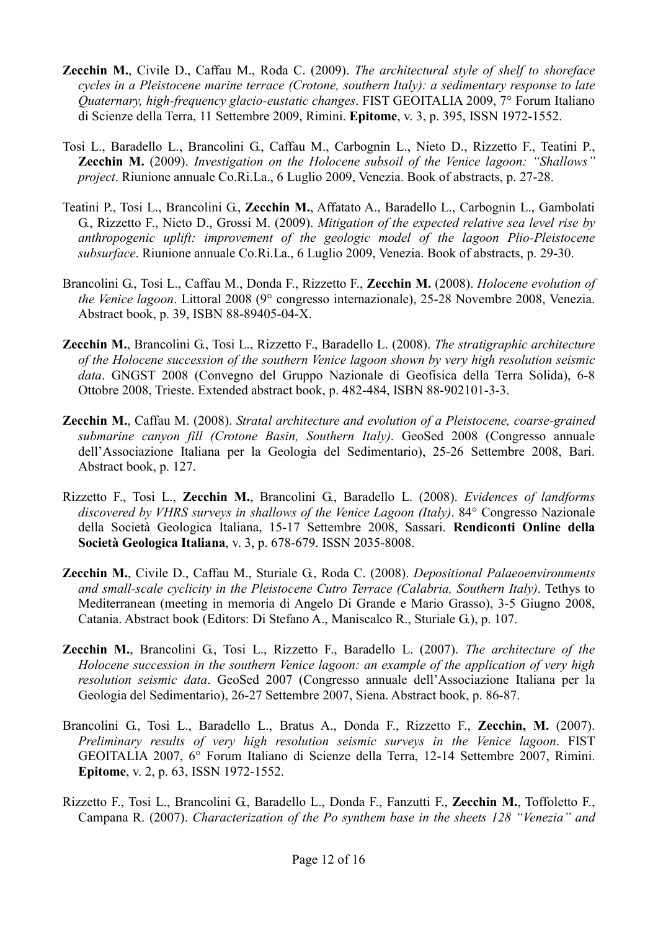- **Zecchin M.,** Civile D., Caffau M., Roda C. (2009). The architectural style of shelf to shoreface cycles in a Pleistocene marine terrace (Crotone, southern Italy): a sedimentary response to late Quaternary, high-frequency glacio-eustatic changes. FIST GEOITALIA 2009, 7° Forum Italiano di Scienze della Terra, 11 Settembre 2009, Rimini. Epitome, v. 3, p. 395, ISSN 1972-1552.
- Tosi L., Baradello L., Brancolini G., Caffau M., Carbognin L., Nieto D., Rizzetto F., Teatini P., **Zecchin M.** (2009). Investigation on the Holocene subsoil of the Venice lagoon: "Shallows" project. Riunione annuale Co.Ri.La., 6 Luglio 2009, Venezia. Book of abstracts, p. 27-28.
- Teatini P., Tosi L., Brancolini G., Zecchin M., Affatato A., Baradello L., Carbognin L., Gambolati G., Rizzetto F., Nieto D., Grossi M. (2009). Mitigation of the expected relative sea level rise by anthropogenic uplift: improvement of the geologic model of the lagoon Plio-Pleistocene subsurface. Riunione annuale Co.Ri.La., 6 Luglio 2009, Venezia. Book of abstracts, p. 29-30.
- Brancolini G., Tosi L., Caffau M., Donda F., Rizzetto F., Zecchin M. (2008). Holocene evolution of the Venice lagoon. Littoral 2008 (9° congresso internazionale), 25-28 Novembre 2008, Venezia. Abstract book, p. 39, ISBN 88-89405-04-X.
- Zecchin M., Brancolini G., Tosi L., Rizzetto F., Baradello L. (2008). The stratigraphic architecture of the Holocene succession of the southern Venice lagoon shown by very high resolution seismic data. GNGST 2008 (Convegno del Gruppo Nazionale di Geofisica della Terra Solida), 6-8 Ottobre 2008, Trieste. Extended abstract book, p. 482-484, ISBN 88-902101-3-3.
- Zecchin M., Caffau M. (2008). Stratal architecture and evolution of a Pleistocene, coarse-grained submarine canyon fill (Crotone Basin, Southern Italy). GeoSed 2008 (Congresso annuale dell'Associazione Italiana per la Geologia del Sedimentario), 25-26 Settembre 2008, Bari. Abstract book, p. 127.
- Rizzetto F., Tosi L., Zecchin M., Brancolini G., Baradello L. (2008). Evidences of landforms discovered by VHRS surveys in shallows of the Venice Lagoon (Italy). 84° Congresso Nazionale della Società Geologica Italiana, 15-17 Settembre 2008, Sassari. Rendiconti Online della Società Geologica Italiana, v. 3, p. 678-679. ISSN 2035-8008.
- Zecchin M., Civile D., Caffau M., Sturiale G., Roda C. (2008). Depositional Palaeoenvironments and small-scale cyclicity in the Pleistocene Cutro Terrace (Calabria, Southern Italy). Tethys to Mediterranean (meeting in memoria di Angelo Di Grande e Mario Grasso), 3-5 Giugno 2008, Catania. Abstract book (Editors: Di Stefano A., Maniscalco R., Sturiale G.), p. 107.
- Zecchin M., Brancolini G., Tosi L., Rizzetto F., Baradello L. (2007). The architecture of the Holocene succession in the southern Venice lagoon: an example of the application of very high resolution seismic data. GeoSed 2007 (Congresso annuale dell'Associazione Italiana per la Geologia del Sedimentario), 26-27 Settembre 2007, Siena. Abstract book, p. 86-87.
- Brancolini G., Tosi L., Baradello L., Bratus A., Donda F., Rizzetto F., Zecchin, M. (2007). Preliminary results of very high resolution seismic surveys in the Venice lagoon. FIST GEOITALIA 2007, 6° Forum Italiano di Scienze della Terra, 12-14 Settembre 2007, Rimini. Epitome, v. 2, p. 63, ISSN 1972-1552.
- Rizzetto F., Tosi L., Brancolini G., Baradello L., Donda F., Fanzutti F., Zecchin M., Toffoletto F., Campana R. (2007). Characterization of the Po synthem base in the sheets 128 "Venezia" and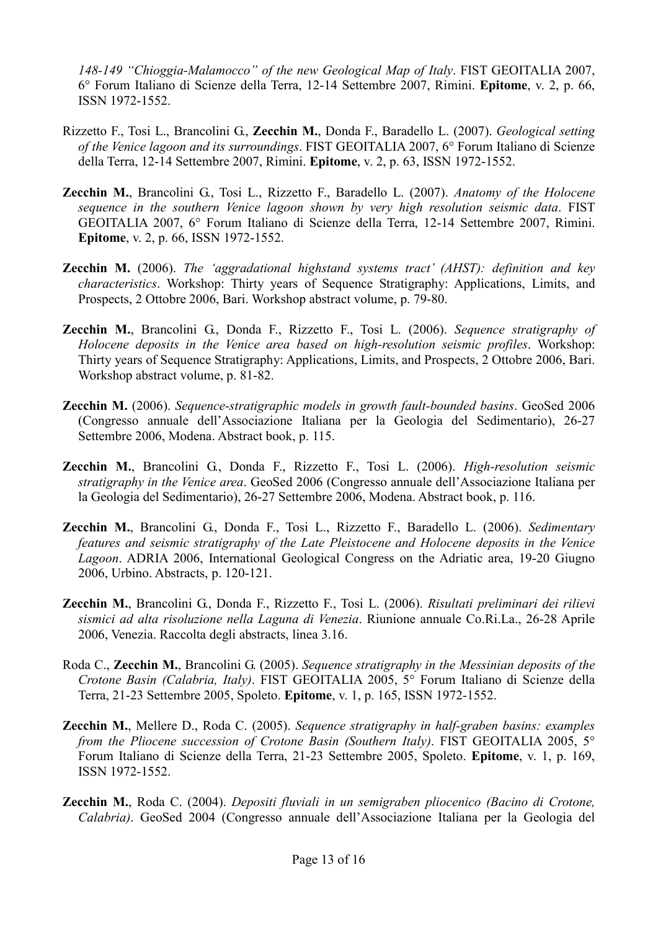148-149 "Chioggia-Malamocco" of the new Geological Map of Italy. FIST GEOITALIA 2007, 6° Forum Italiano di Scienze della Terra, 12-14 Settembre 2007, Rimini. Epitome, v. 2, p. 66, ISSN 1972-1552.

- Rizzetto F., Tosi L., Brancolini G., Zecchin M., Donda F., Baradello L. (2007). Geological setting of the Venice lagoon and its surroundings. FIST GEOITALIA 2007, 6° Forum Italiano di Scienze della Terra, 12-14 Settembre 2007, Rimini. Epitome, v. 2, p. 63, ISSN 1972-1552.
- Zecchin M., Brancolini G., Tosi L., Rizzetto F., Baradello L. (2007). Anatomy of the Holocene sequence in the southern Venice lagoon shown by very high resolution seismic data. FIST GEOITALIA 2007, 6° Forum Italiano di Scienze della Terra, 12-14 Settembre 2007, Rimini. Epitome, v. 2, p. 66, ISSN 1972-1552.
- **Zecchin M.** (2006). The 'aggradational highstand systems tract' (AHST): definition and key characteristics. Workshop: Thirty years of Sequence Stratigraphy: Applications, Limits, and Prospects, 2 Ottobre 2006, Bari. Workshop abstract volume, p. 79-80.
- Zecchin M., Brancolini G., Donda F., Rizzetto F., Tosi L. (2006). Sequence stratigraphy of Holocene deposits in the Venice area based on high-resolution seismic profiles. Workshop: Thirty years of Sequence Stratigraphy: Applications, Limits, and Prospects, 2 Ottobre 2006, Bari. Workshop abstract volume, p. 81-82.
- Zecchin M. (2006). Sequence-stratigraphic models in growth fault-bounded basins. GeoSed 2006 (Congresso annuale dell'Associazione Italiana per la Geologia del Sedimentario), 26-27 Settembre 2006, Modena. Abstract book, p. 115.
- Zecchin M., Brancolini G., Donda F., Rizzetto F., Tosi L. (2006). High-resolution seismic stratigraphy in the Venice area. GeoSed 2006 (Congresso annuale dell'Associazione Italiana per la Geologia del Sedimentario), 26-27 Settembre 2006, Modena. Abstract book, p. 116.
- Zecchin M., Brancolini G., Donda F., Tosi L., Rizzetto F., Baradello L. (2006). Sedimentary features and seismic stratigraphy of the Late Pleistocene and Holocene deposits in the Venice Lagoon. ADRIA 2006, International Geological Congress on the Adriatic area, 19-20 Giugno 2006, Urbino. Abstracts, p. 120-121.
- Zecchin M., Brancolini G., Donda F., Rizzetto F., Tosi L. (2006). Risultati preliminari dei rilievi sismici ad alta risoluzione nella Laguna di Venezia. Riunione annuale Co.Ri.La., 26-28 Aprile 2006, Venezia. Raccolta degli abstracts, linea 3.16.
- Roda C., Zecchin M., Brancolini G. (2005). Sequence stratigraphy in the Messinian deposits of the Crotone Basin (Calabria, Italy). FIST GEOITALIA 2005, 5° Forum Italiano di Scienze della Terra, 21-23 Settembre 2005, Spoleto. Epitome, v. 1, p. 165, ISSN 1972-1552.
- Zecchin M., Mellere D., Roda C. (2005). Sequence stratigraphy in half-graben basins: examples from the Pliocene succession of Crotone Basin (Southern Italy). FIST GEOITALIA 2005, 5° Forum Italiano di Scienze della Terra, 21-23 Settembre 2005, Spoleto. Epitome, v. 1, p. 169, ISSN 1972-1552.
- Zecchin M., Roda C. (2004). Depositi fluviali in un semigraben pliocenico (Bacino di Crotone, Calabria). GeoSed 2004 (Congresso annuale dell'Associazione Italiana per la Geologia del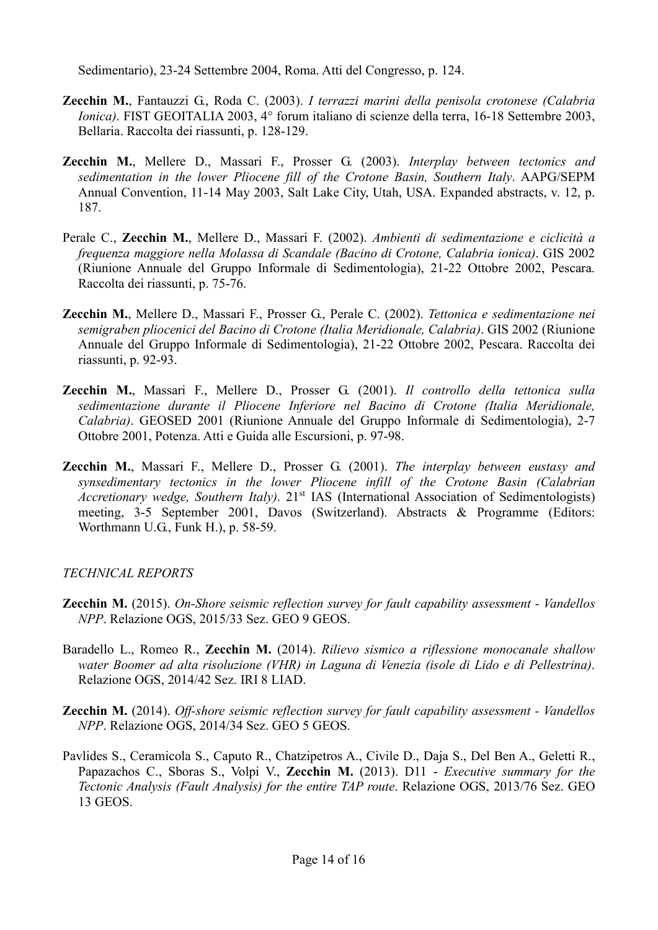Sedimentario), 23-24 Settembre 2004, Roma. Atti del Congresso, p. 124.

- Zecchin M., Fantauzzi G., Roda C. (2003). I terrazzi marini della penisola crotonese (Calabria Ionica). FIST GEOITALIA 2003, 4° forum italiano di scienze della terra, 16-18 Settembre 2003, Bellaria. Raccolta dei riassunti, p. 128-129.
- Zecchin M., Mellere D., Massari F., Prosser G. (2003). Interplay between tectonics and sedimentation in the lower Pliocene fill of the Crotone Basin, Southern Italy. AAPG/SEPM Annual Convention, 11-14 May 2003, Salt Lake City, Utah, USA. Expanded abstracts, v. 12, p. 187.
- Perale C., Zecchin M., Mellere D., Massari F. (2002). Ambienti di sedimentazione e ciclicità a frequenza maggiore nella Molassa di Scandale (Bacino di Crotone, Calabria ionica). GIS 2002 (Riunione Annuale del Gruppo Informale di Sedimentologia), 21-22 Ottobre 2002, Pescara. Raccolta dei riassunti, p. 75-76.
- Zecchin M., Mellere D., Massari F., Prosser G., Perale C. (2002). Tettonica e sedimentazione nei semigraben pliocenici del Bacino di Crotone (Italia Meridionale, Calabria). GIS 2002 (Riunione Annuale del Gruppo Informale di Sedimentologia), 21-22 Ottobre 2002, Pescara. Raccolta dei riassunti, p. 92-93.
- Zecchin M., Massari F., Mellere D., Prosser G. (2001). Il controllo della tettonica sulla sedimentazione durante il Pliocene Inferiore nel Bacino di Crotone (Italia Meridionale, Calabria). GEOSED 2001 (Riunione Annuale del Gruppo Informale di Sedimentologia), 2-7 Ottobre 2001, Potenza. Atti e Guida alle Escursioni, p. 97-98.
- Zecchin M., Massari F., Mellere D., Prosser G. (2001). The interplay between eustasy and synsedimentary tectonics in the lower Pliocene infill of the Crotone Basin (Calabrian Accretionary wedge, Southern Italy). 21<sup>st</sup> IAS (International Association of Sedimentologists) meeting, 3-5 September 2001, Davos (Switzerland). Abstracts & Programme (Editors: Worthmann U.G., Funk H.), p. 58-59.

### TECHNICAL REPORTS

- Zecchin M. (2015). On-Shore seismic reflection survey for fault capability assessment Vandellos NPP. Relazione OGS, 2015/33 Sez. GEO 9 GEOS.
- Baradello L., Romeo R., Zecchin M. (2014). Rilievo sismico a riflessione monocanale shallow water Boomer ad alta risoluzione (VHR) in Laguna di Venezia (isole di Lido e di Pellestrina). Relazione OGS, 2014/42 Sez. IRI 8 LIAD.
- **Zecchin M.** (2014). Off-shore seismic reflection survey for fault capability assessment Vandellos NPP. Relazione OGS, 2014/34 Sez. GEO 5 GEOS.
- Pavlides S., Ceramicola S., Caputo R., Chatzipetros A., Civile D., Daja S., Del Ben A., Geletti R., Papazachos C., Sboras S., Volpi V., Zecchin M. (2013). D11 - Executive summary for the Tectonic Analysis (Fault Analysis) for the entire TAP route. Relazione OGS, 2013/76 Sez. GEO 13 GEOS.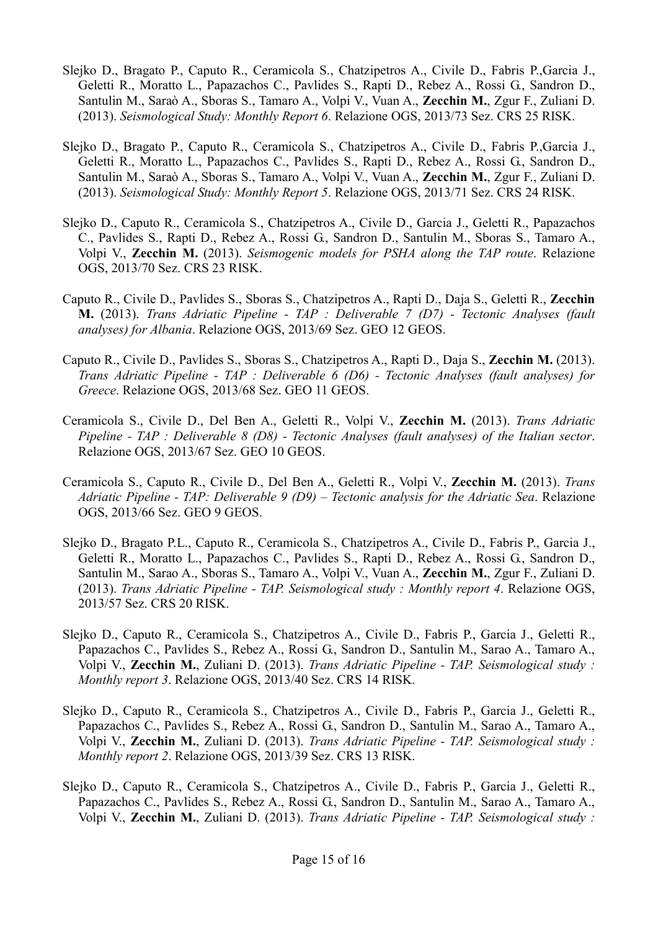- Slejko D., Bragato P., Caputo R., Ceramicola S., Chatzipetros A., Civile D., Fabris P.,Garcia J., Geletti R., Moratto L., Papazachos C., Pavlides S., Rapti D., Rebez A., Rossi G., Sandron D., Santulin M., Saraò A., Sboras S., Tamaro A., Volpi V., Vuan A., Zecchin M., Zgur F., Zuliani D. (2013). Seismological Study: Monthly Report 6. Relazione OGS, 2013/73 Sez. CRS 25 RISK.
- Slejko D., Bragato P., Caputo R., Ceramicola S., Chatzipetros A., Civile D., Fabris P.,Garcia J., Geletti R., Moratto L., Papazachos C., Pavlides S., Rapti D., Rebez A., Rossi G., Sandron D., Santulin M., Saraò A., Sboras S., Tamaro A., Volpi V., Vuan A., Zecchin M., Zgur F., Zuliani D. (2013). Seismological Study: Monthly Report 5. Relazione OGS, 2013/71 Sez. CRS 24 RISK.
- Slejko D., Caputo R., Ceramicola S., Chatzipetros A., Civile D., Garcia J., Geletti R., Papazachos C., Pavlides S., Rapti D., Rebez A., Rossi G., Sandron D., Santulin M., Sboras S., Tamaro A., Volpi V., Zecchin M. (2013). Seismogenic models for PSHA along the TAP route. Relazione OGS, 2013/70 Sez. CRS 23 RISK.
- Caputo R., Civile D., Pavlides S., Sboras S., Chatzipetros A., Rapti D., Daja S., Geletti R., Zecchin M. (2013). Trans Adriatic Pipeline - TAP : Deliverable 7 (D7) - Tectonic Analyses (fault analyses) for Albania. Relazione OGS, 2013/69 Sez. GEO 12 GEOS.
- Caputo R., Civile D., Pavlides S., Sboras S., Chatzipetros A., Rapti D., Daja S., Zecchin M. (2013). Trans Adriatic Pipeline - TAP : Deliverable 6 (D6) - Tectonic Analyses (fault analyses) for Greece. Relazione OGS, 2013/68 Sez. GEO 11 GEOS.
- Ceramicola S., Civile D., Del Ben A., Geletti R., Volpi V., Zecchin M. (2013). Trans Adriatic Pipeline - TAP : Deliverable 8 (D8) - Tectonic Analyses (fault analyses) of the Italian sector. Relazione OGS, 2013/67 Sez. GEO 10 GEOS.
- Ceramicola S., Caputo R., Civile D., Del Ben A., Geletti R., Volpi V., Zecchin M. (2013). Trans Adriatic Pipeline - TAP: Deliverable 9 (D9) – Tectonic analysis for the Adriatic Sea. Relazione OGS, 2013/66 Sez. GEO 9 GEOS.
- Slejko D., Bragato P.L., Caputo R., Ceramicola S., Chatzipetros A., Civile D., Fabris P., Garcia J., Geletti R., Moratto L., Papazachos C., Pavlides S., Rapti D., Rebez A., Rossi G., Sandron D., Santulin M., Sarao A., Sboras S., Tamaro A., Volpi V., Vuan A., Zecchin M., Zgur F., Zuliani D. (2013). Trans Adriatic Pipeline - TAP. Seismological study : Monthly report 4. Relazione OGS, 2013/57 Sez. CRS 20 RISK.
- Slejko D., Caputo R., Ceramicola S., Chatzipetros A., Civile D., Fabris P., Garcia J., Geletti R., Papazachos C., Pavlides S., Rebez A., Rossi G., Sandron D., Santulin M., Sarao A., Tamaro A., Volpi V., Zecchin M., Zuliani D. (2013). Trans Adriatic Pipeline - TAP. Seismological study : Monthly report 3. Relazione OGS, 2013/40 Sez. CRS 14 RISK.
- Slejko D., Caputo R., Ceramicola S., Chatzipetros A., Civile D., Fabris P., Garcia J., Geletti R., Papazachos C., Pavlides S., Rebez A., Rossi G., Sandron D., Santulin M., Sarao A., Tamaro A., Volpi V., Zecchin M., Zuliani D. (2013). Trans Adriatic Pipeline - TAP. Seismological study : Monthly report 2. Relazione OGS, 2013/39 Sez. CRS 13 RISK.
- Slejko D., Caputo R., Ceramicola S., Chatzipetros A., Civile D., Fabris P., Garcia J., Geletti R., Papazachos C., Pavlides S., Rebez A., Rossi G., Sandron D., Santulin M., Sarao A., Tamaro A., Volpi V., Zecchin M., Zuliani D. (2013). Trans Adriatic Pipeline - TAP. Seismological study :